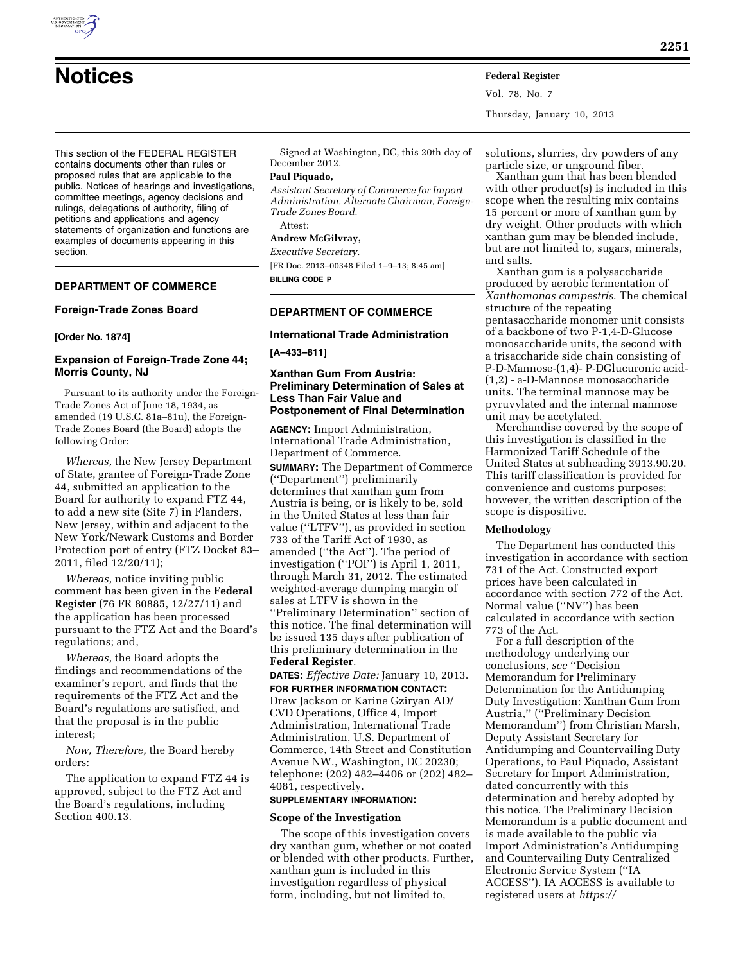This section of the FEDERAL REGISTER contains documents other than rules or proposed rules that are applicable to the public. Notices of hearings and investigations, committee meetings, agency decisions and rulings, delegations of authority, filing of petitions and applications and agency statements of organization and functions are examples of documents appearing in this section.

# **DEPARTMENT OF COMMERCE**

#### **Foreign-Trade Zones Board**

#### **[Order No. 1874]**

## **Expansion of Foreign-Trade Zone 44; Morris County, NJ**

Pursuant to its authority under the Foreign-Trade Zones Act of June 18, 1934, as amended (19 U.S.C. 81a–81u), the Foreign-Trade Zones Board (the Board) adopts the following Order:

*Whereas,* the New Jersey Department of State, grantee of Foreign-Trade Zone 44, submitted an application to the Board for authority to expand FTZ 44, to add a new site (Site 7) in Flanders, New Jersey, within and adjacent to the New York/Newark Customs and Border Protection port of entry (FTZ Docket 83– 2011, filed 12/20/11);

*Whereas,* notice inviting public comment has been given in the **Federal Register** (76 FR 80885, 12/27/11) and the application has been processed pursuant to the FTZ Act and the Board's regulations; and,

*Whereas,* the Board adopts the findings and recommendations of the examiner's report, and finds that the requirements of the FTZ Act and the Board's regulations are satisfied, and that the proposal is in the public interest;

*Now, Therefore,* the Board hereby orders:

The application to expand FTZ 44 is approved, subject to the FTZ Act and the Board's regulations, including Section 400.13.

Signed at Washington, DC, this 20th day of December 2012.

#### **Paul Piquado,**

*Assistant Secretary of Commerce for Import Administration, Alternate Chairman, Foreign-Trade Zones Board.* 

Attest:

# **Andrew McGilvray,**

*Executive Secretary.*  [FR Doc. 2013–00348 Filed 1–9–13; 8:45 am] **BILLING CODE P** 

# **DEPARTMENT OF COMMERCE**

# **International Trade Administration**

**[A–433–811]** 

#### **Xanthan Gum From Austria: Preliminary Determination of Sales at Less Than Fair Value and Postponement of Final Determination**

**AGENCY:** Import Administration, International Trade Administration, Department of Commerce.

**SUMMARY:** The Department of Commerce (''Department'') preliminarily determines that xanthan gum from Austria is being, or is likely to be, sold in the United States at less than fair value (''LTFV''), as provided in section 733 of the Tariff Act of 1930, as amended (''the Act''). The period of investigation (''POI'') is April 1, 2011, through March 31, 2012. The estimated weighted-average dumping margin of sales at LTFV is shown in the ''Preliminary Determination'' section of this notice. The final determination will be issued 135 days after publication of this preliminary determination in the **Federal Register**.

**DATES:** *Effective Date:* January 10, 2013. **FOR FURTHER INFORMATION CONTACT:**  Drew Jackson or Karine Gziryan AD/ CVD Operations, Office 4, Import Administration, International Trade Administration, U.S. Department of Commerce, 14th Street and Constitution Avenue NW., Washington, DC 20230; telephone: (202) 482–4406 or (202) 482– 4081, respectively.

#### **SUPPLEMENTARY INFORMATION:**

#### **Scope of the Investigation**

The scope of this investigation covers dry xanthan gum, whether or not coated or blended with other products. Further, xanthan gum is included in this investigation regardless of physical form, including, but not limited to,

solutions, slurries, dry powders of any particle size, or unground fiber.

Vol. 78, No. 7

Thursday, January 10, 2013

Xanthan gum that has been blended with other product(s) is included in this scope when the resulting mix contains 15 percent or more of xanthan gum by dry weight. Other products with which xanthan gum may be blended include, but are not limited to, sugars, minerals, and salts.

Xanthan gum is a polysaccharide produced by aerobic fermentation of *Xanthomonas campestris*. The chemical structure of the repeating pentasaccharide monomer unit consists of a backbone of two P-1,4-D-Glucose monosaccharide units, the second with a trisaccharide side chain consisting of P-D-Mannose-(1,4)- P-DGlucuronic acid- (1,2) - a-D-Mannose monosaccharide units. The terminal mannose may be pyruvylated and the internal mannose unit may be acetylated.

Merchandise covered by the scope of this investigation is classified in the Harmonized Tariff Schedule of the United States at subheading 3913.90.20. This tariff classification is provided for convenience and customs purposes; however, the written description of the scope is dispositive.

#### **Methodology**

The Department has conducted this investigation in accordance with section 731 of the Act. Constructed export prices have been calculated in accordance with section 772 of the Act. Normal value (''NV'') has been calculated in accordance with section 773 of the Act.

For a full description of the methodology underlying our conclusions, *see* ''Decision Memorandum for Preliminary Determination for the Antidumping Duty Investigation: Xanthan Gum from Austria,'' (''Preliminary Decision Memorandum'') from Christian Marsh, Deputy Assistant Secretary for Antidumping and Countervailing Duty Operations, to Paul Piquado, Assistant Secretary for Import Administration, dated concurrently with this determination and hereby adopted by this notice. The Preliminary Decision Memorandum is a public document and is made available to the public via Import Administration's Antidumping and Countervailing Duty Centralized Electronic Service System (''IA ACCESS''). IA ACCESS is available to registered users at *<https://>*